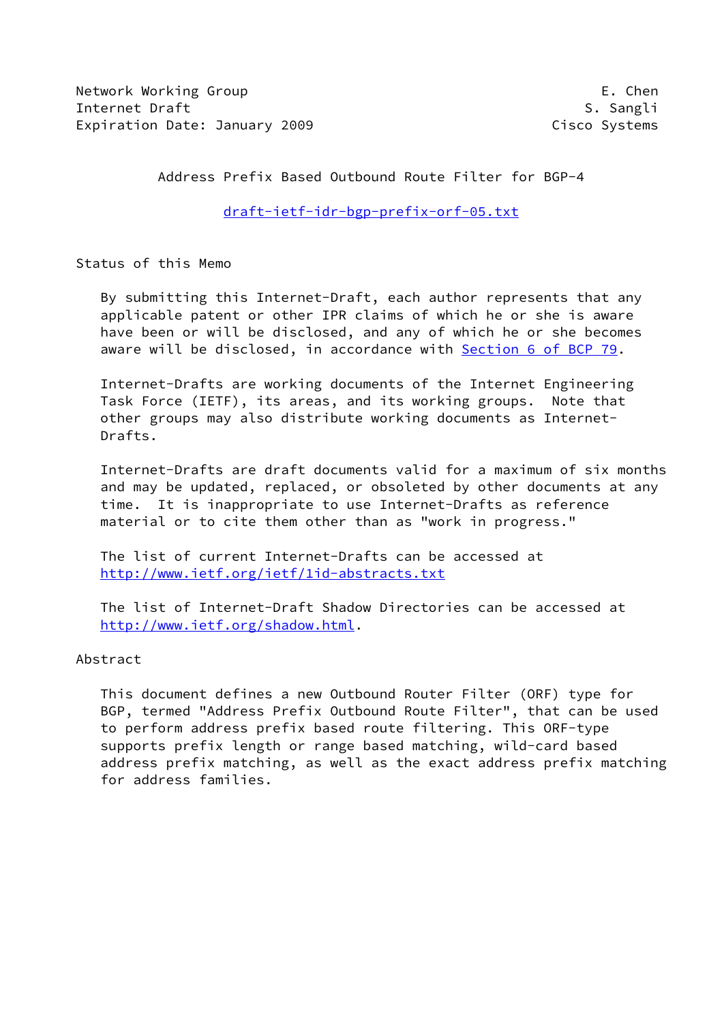Network Working Group E. Chen Internet Draft States of the Second States of the Second States of S. Sangli Expiration Date: January 2009 **Cisco Systems** 

Address Prefix Based Outbound Route Filter for BGP-4

[draft-ietf-idr-bgp-prefix-orf-05.txt](https://datatracker.ietf.org/doc/pdf/draft-ietf-idr-bgp-prefix-orf-05.txt)

Status of this Memo

 By submitting this Internet-Draft, each author represents that any applicable patent or other IPR claims of which he or she is aware have been or will be disclosed, and any of which he or she becomes aware will be disclosed, in accordance with Section [6 of BCP 79.](https://datatracker.ietf.org/doc/pdf/bcp79#section-6)

 Internet-Drafts are working documents of the Internet Engineering Task Force (IETF), its areas, and its working groups. Note that other groups may also distribute working documents as Internet- Drafts.

 Internet-Drafts are draft documents valid for a maximum of six months and may be updated, replaced, or obsoleted by other documents at any time. It is inappropriate to use Internet-Drafts as reference material or to cite them other than as "work in progress."

 The list of current Internet-Drafts can be accessed at <http://www.ietf.org/ietf/1id-abstracts.txt>

 The list of Internet-Draft Shadow Directories can be accessed at <http://www.ietf.org/shadow.html>.

# Abstract

 This document defines a new Outbound Router Filter (ORF) type for BGP, termed "Address Prefix Outbound Route Filter", that can be used to perform address prefix based route filtering. This ORF-type supports prefix length or range based matching, wild-card based address prefix matching, as well as the exact address prefix matching for address families.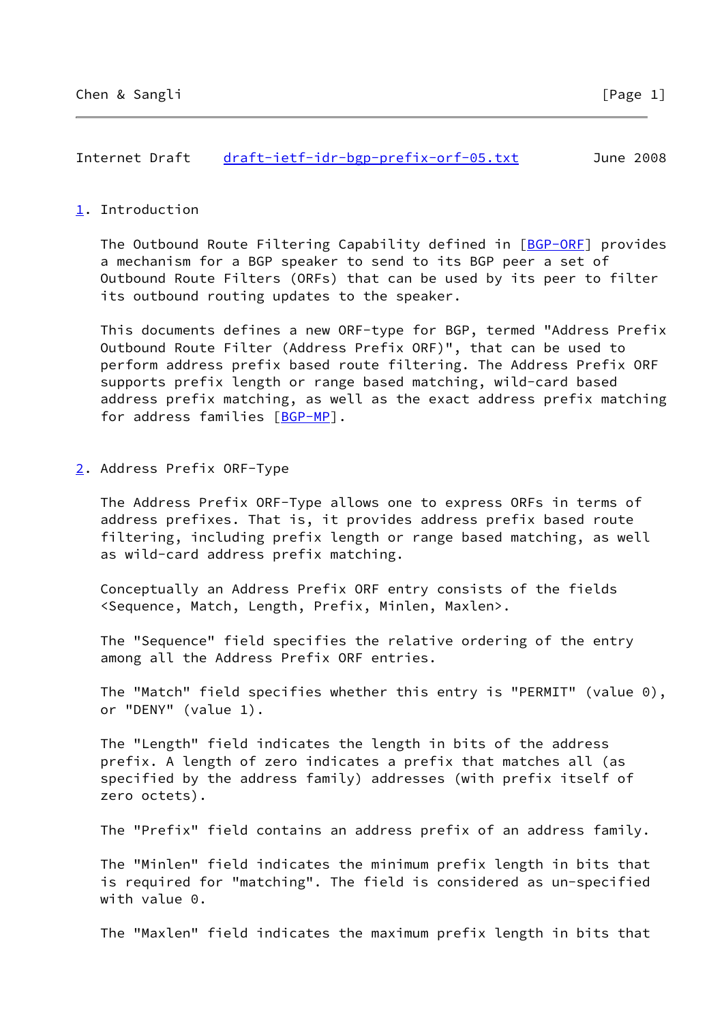## Internet Draft [draft-ietf-idr-bgp-prefix-orf-05.txt](https://datatracker.ietf.org/doc/pdf/draft-ietf-idr-bgp-prefix-orf-05.txt) June 2008

### <span id="page-1-0"></span>[1](#page-1-0). Introduction

 The Outbound Route Filtering Capability defined in [[BGP-ORF\]](#page-4-0) provides a mechanism for a BGP speaker to send to its BGP peer a set of Outbound Route Filters (ORFs) that can be used by its peer to filter its outbound routing updates to the speaker.

 This documents defines a new ORF-type for BGP, termed "Address Prefix Outbound Route Filter (Address Prefix ORF)", that can be used to perform address prefix based route filtering. The Address Prefix ORF supports prefix length or range based matching, wild-card based address prefix matching, as well as the exact address prefix matching for address families [\[BGP-MP](#page-4-1)].

<span id="page-1-1"></span>[2](#page-1-1). Address Prefix ORF-Type

 The Address Prefix ORF-Type allows one to express ORFs in terms of address prefixes. That is, it provides address prefix based route filtering, including prefix length or range based matching, as well as wild-card address prefix matching.

 Conceptually an Address Prefix ORF entry consists of the fields <Sequence, Match, Length, Prefix, Minlen, Maxlen>.

 The "Sequence" field specifies the relative ordering of the entry among all the Address Prefix ORF entries.

 The "Match" field specifies whether this entry is "PERMIT" (value 0), or "DENY" (value 1).

 The "Length" field indicates the length in bits of the address prefix. A length of zero indicates a prefix that matches all (as specified by the address family) addresses (with prefix itself of zero octets).

The "Prefix" field contains an address prefix of an address family.

 The "Minlen" field indicates the minimum prefix length in bits that is required for "matching". The field is considered as un-specified with value 0.

The "Maxlen" field indicates the maximum prefix length in bits that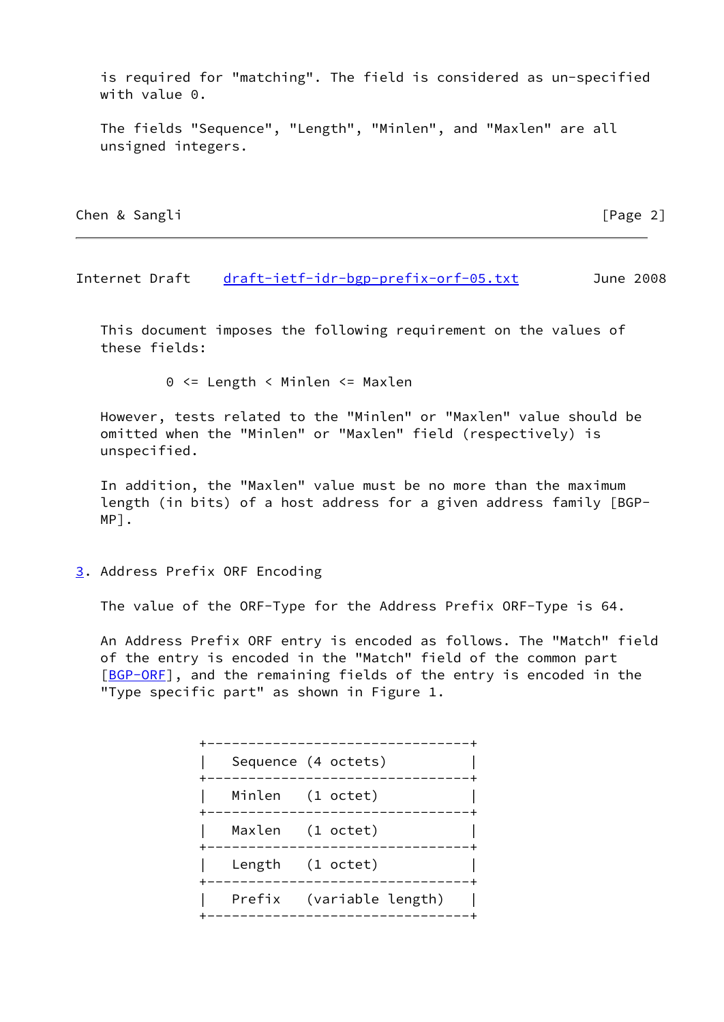is required for "matching". The field is considered as un-specified with value 0.

 The fields "Sequence", "Length", "Minlen", and "Maxlen" are all unsigned integers.

Chen & Sangli **Chen & Sangli** [Page 2]

Internet Draft [draft-ietf-idr-bgp-prefix-orf-05.txt](https://datatracker.ietf.org/doc/pdf/draft-ietf-idr-bgp-prefix-orf-05.txt) June 2008

 This document imposes the following requirement on the values of these fields:

0 <= Length < Minlen <= Maxlen

 However, tests related to the "Minlen" or "Maxlen" value should be omitted when the "Minlen" or "Maxlen" field (respectively) is unspecified.

 In addition, the "Maxlen" value must be no more than the maximum length (in bits) of a host address for a given address family [BGP- MP].

<span id="page-2-0"></span>[3](#page-2-0). Address Prefix ORF Encoding

The value of the ORF-Type for the Address Prefix ORF-Type is 64.

 An Address Prefix ORF entry is encoded as follows. The "Match" field of the entry is encoded in the "Match" field of the common part [BGP-ORE], and the remaining fields of the entry is encoded in the "Type specific part" as shown in Figure 1.

|  | Sequence (4 octets)                       |
|--|-------------------------------------------|
|  | Minlen (1 octet)                          |
|  | Maxlen (1 octet)<br>_____________________ |
|  | Length (1 octet)<br>-------------         |
|  | Prefix (variable length)                  |
|  |                                           |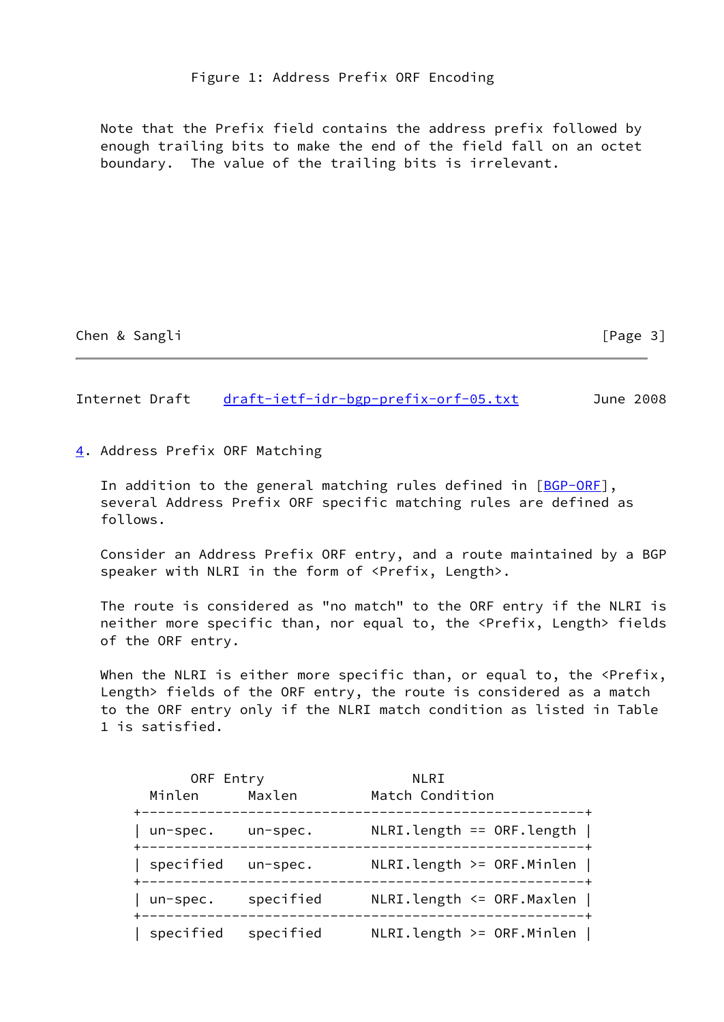Note that the Prefix field contains the address prefix followed by enough trailing bits to make the end of the field fall on an octet boundary. The value of the trailing bits is irrelevant.

Chen & Sangli **Chen & Sangli** [Page 3]

Internet Draft [draft-ietf-idr-bgp-prefix-orf-05.txt](https://datatracker.ietf.org/doc/pdf/draft-ietf-idr-bgp-prefix-orf-05.txt) June 2008

<span id="page-3-0"></span>[4](#page-3-0). Address Prefix ORF Matching

In addition to the general matching rules defined in [\[BGP-ORF](#page-4-0)], several Address Prefix ORF specific matching rules are defined as follows.

 Consider an Address Prefix ORF entry, and a route maintained by a BGP speaker with NLRI in the form of <Prefix, Length>.

 The route is considered as "no match" to the ORF entry if the NLRI is neither more specific than, nor equal to, the <Prefix, Length> fields of the ORF entry.

When the NLRI is either more specific than, or equal to, the <Prefix, Length> fields of the ORF entry, the route is considered as a match to the ORF entry only if the NLRI match condition as listed in Table 1 is satisfied.

| ORF Entry           |           | NLRI                          |
|---------------------|-----------|-------------------------------|
| Minlen              | Maxlen    | Match Condition               |
| un-spec. un-spec.   |           | $NLRI.length == ORF.length$   |
| specified un-spec.  |           | $NLRI.length \geq ORF.Minlen$ |
| un-spec.            | specified | $NLRI.length \leq ORF.Maxlen$ |
| specified specified |           | $NLRI.length \geq ORF.Minlen$ |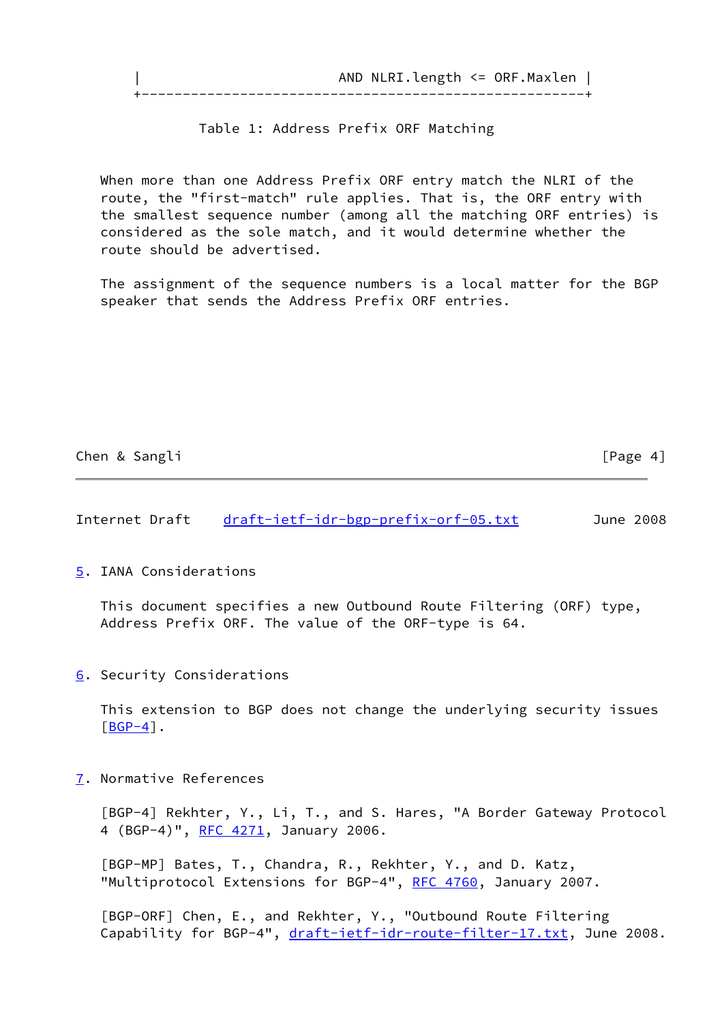|  | AND NLRI.length <= ORF.Maxlen |  |
|--|-------------------------------|--|
|  |                               |  |

#### Table 1: Address Prefix ORF Matching

 When more than one Address Prefix ORF entry match the NLRI of the route, the "first-match" rule applies. That is, the ORF entry with the smallest sequence number (among all the matching ORF entries) is considered as the sole match, and it would determine whether the route should be advertised.

 The assignment of the sequence numbers is a local matter for the BGP speaker that sends the Address Prefix ORF entries.

Chen & Sangli [Page 4]

Internet Draft [draft-ietf-idr-bgp-prefix-orf-05.txt](https://datatracker.ietf.org/doc/pdf/draft-ietf-idr-bgp-prefix-orf-05.txt) June 2008

<span id="page-4-2"></span>[5](#page-4-2). IANA Considerations

 This document specifies a new Outbound Route Filtering (ORF) type, Address Prefix ORF. The value of the ORF-type is 64.

<span id="page-4-3"></span>[6](#page-4-3). Security Considerations

 This extension to BGP does not change the underlying security issues  $[BGP-4]$  $[BGP-4]$ .

<span id="page-4-5"></span>[7](#page-4-5). Normative References

<span id="page-4-4"></span> [BGP-4] Rekhter, Y., Li, T., and S. Hares, "A Border Gateway Protocol 4 (BGP-4)", [RFC 4271,](https://datatracker.ietf.org/doc/pdf/rfc4271) January 2006.

<span id="page-4-1"></span> [BGP-MP] Bates, T., Chandra, R., Rekhter, Y., and D. Katz, "Multiprotocol Extensions for BGP-4", [RFC 4760](https://datatracker.ietf.org/doc/pdf/rfc4760), January 2007.

<span id="page-4-0"></span> [BGP-ORF] Chen, E., and Rekhter, Y., "Outbound Route Filtering Capability for BGP-4", [draft-ietf-idr-route-filter-17.txt,](https://datatracker.ietf.org/doc/pdf/draft-ietf-idr-route-filter-17.txt) June 2008.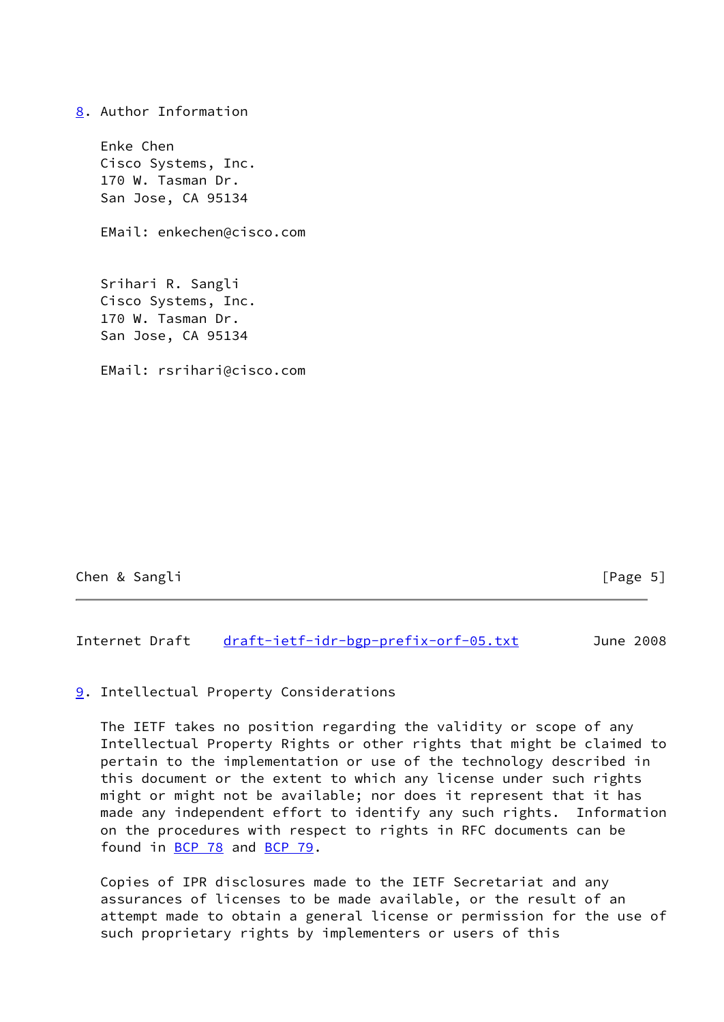<span id="page-5-0"></span>[8](#page-5-0). Author Information Enke Chen Cisco Systems, Inc. 170 W. Tasman Dr. San Jose, CA 95134 EMail: enkechen@cisco.com Srihari R. Sangli Cisco Systems, Inc. 170 W. Tasman Dr. San Jose, CA 95134 EMail: rsrihari@cisco.com

Chen & Sangli **channel** [Page 5]

Internet Draft [draft-ietf-idr-bgp-prefix-orf-05.txt](https://datatracker.ietf.org/doc/pdf/draft-ietf-idr-bgp-prefix-orf-05.txt) June 2008

### <span id="page-5-1"></span>[9](#page-5-1). Intellectual Property Considerations

 The IETF takes no position regarding the validity or scope of any Intellectual Property Rights or other rights that might be claimed to pertain to the implementation or use of the technology described in this document or the extent to which any license under such rights might or might not be available; nor does it represent that it has made any independent effort to identify any such rights. Information on the procedures with respect to rights in RFC documents can be found in [BCP 78](https://datatracker.ietf.org/doc/pdf/bcp78) and [BCP 79](https://datatracker.ietf.org/doc/pdf/bcp79).

 Copies of IPR disclosures made to the IETF Secretariat and any assurances of licenses to be made available, or the result of an attempt made to obtain a general license or permission for the use of such proprietary rights by implementers or users of this